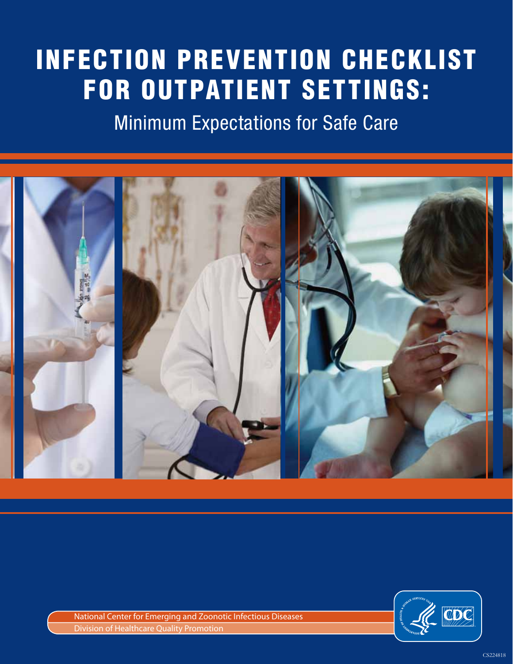# InfectIon PreventIon checklIst for outPatIent settIngs:

Minimum Expectations for Safe Care





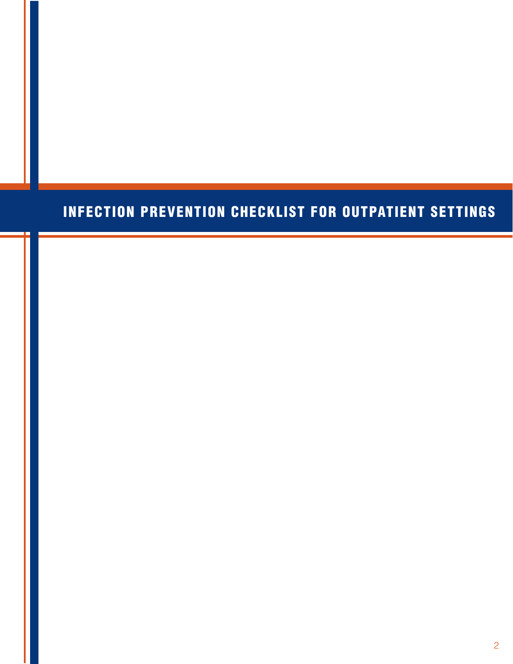## InfectIon PreventIon checklIst for outPatIent settIngs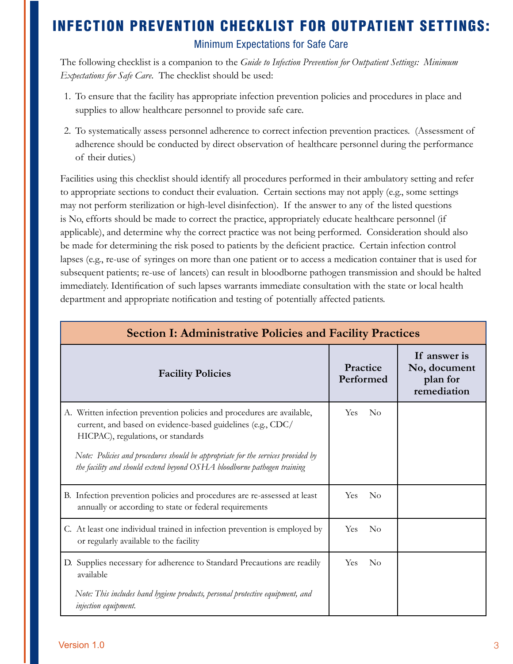### INFECTION PREVENTION CHECKLIST FOR OUTPATIENT SET

Minimum Expectations for Safe Care

The following checklist is a companion to the *Guide to Infection Prevention for Outpatient Settings: Minimum Expectations for Safe Care*. The checklist should be used:

- 1. To ensure that the facility has appropriate infection prevention policies and procedures in place and supplies to allow healthcare personnel to provide safe care.
- 2. To systematically assess personnel adherence to correct infection prevention practices. (Assessment of adherence should be conducted by direct observation of healthcare personnel during the performance of their duties.)

Facilities using this checklist should identify all procedures performed in their ambulatory setting and refer to appropriate sections to conduct their evaluation. Certain sections may not apply (e.g., some settings may not perform sterilization or high-level disinfection). If the answer to any of the listed questions is No, efforts should be made to correct the practice, appropriately educate healthcare personnel (if applicable), and determine why the correct practice was not being performed. Consideration should also be made for determining the risk posed to patients by the deficient practice. Certain infection control lapses (e.g., re-use of syringes on more than one patient or to access a medication container that is used for subsequent patients; re-use of lancets) can result in bloodborne pathogen transmission and should be halted immediately. Identification of such lapses warrants immediate consultation with the state or local health department and appropriate notification and testing of potentially affected patients.

| <b>Section I: Administrative Policies and Facility Practices</b>                                                                                                            |                                  |                                                         |  |
|-----------------------------------------------------------------------------------------------------------------------------------------------------------------------------|----------------------------------|---------------------------------------------------------|--|
| <b>Facility Policies</b>                                                                                                                                                    | Practice<br>Performed            | If answer is<br>No, document<br>plan for<br>remediation |  |
| A. Written infection prevention policies and procedures are available,<br>current, and based on evidence-based guidelines (e.g., CDC/<br>HICPAC), regulations, or standards | <b>Yes</b><br>$\overline{N}_{O}$ |                                                         |  |
| Note: Policies and procedures should be appropriate for the services provided by<br>the facility and should extend beyond OSHA bloodborne pathogen training                 |                                  |                                                         |  |
| B. Infection prevention policies and procedures are re-assessed at least<br>annually or according to state or federal requirements                                          | <b>Yes</b><br>$\rm No$           |                                                         |  |
| C. At least one individual trained in infection prevention is employed by<br>or regularly available to the facility                                                         | <b>Yes</b><br>$\rm No$           |                                                         |  |
| D. Supplies necessary for adherence to Standard Precautions are readily<br>available                                                                                        | $\rm No$<br><b>Yes</b>           |                                                         |  |
| Note: This includes hand hygiene products, personal protective equipment, and<br>injection equipment.                                                                       |                                  |                                                         |  |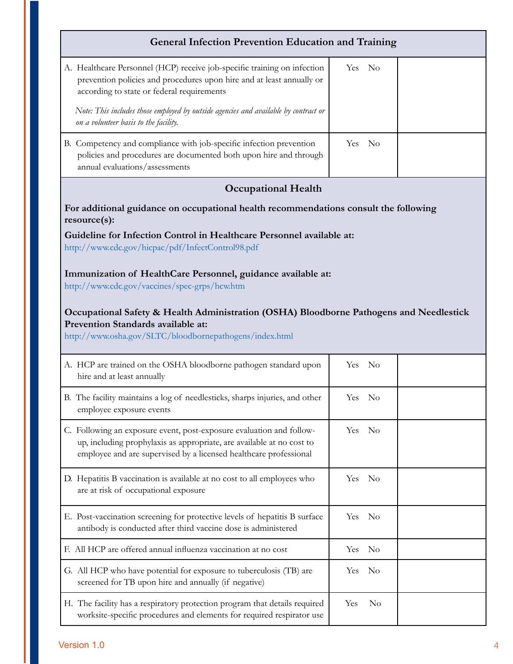#### **General Infection Prevention Education and Training**

| A. Healthcare Personnel (HCP) receive job-specific training on infection<br>prevention policies and procedures upon hire and at least annually or<br>according to state or federal requirements<br>Note: This includes those employed by outside agencies and available by contract or<br>on a volunteer basis to the facility. | Yes No |  |
|---------------------------------------------------------------------------------------------------------------------------------------------------------------------------------------------------------------------------------------------------------------------------------------------------------------------------------|--------|--|
| B. Competency and compliance with job-specific infection prevention<br>policies and procedures are documented both upon hire and through<br>annual evaluations/assessments                                                                                                                                                      | Yes No |  |

#### **Occupational Health**

#### **For additional guidance on occupational health recommendations consult the following resource(s):**

#### **Guideline for Infection Control in Healthcare Personnel available at:**  http://www.cdc.gov/hicpac/pdf/InfectControl98.pdf

#### **Immunization of HealthCare Personnel, guidance available at:**

http://www.cdc.gov/vaccines/spec-grps/hcw.htm

#### **Occupational Safety & Health Administration (OSHA) Bloodborne Pathogens and Needlestick Prevention Standards available at:**

http://www.osha.gov/SLTC/bloodbornepathogens/index.html

| A. HCP are trained on the OSHA bloodborne pathogen standard upon<br>hire and at least annually                                                                                                                     | Yes<br>No                 |  |
|--------------------------------------------------------------------------------------------------------------------------------------------------------------------------------------------------------------------|---------------------------|--|
| B. The facility maintains a log of needlesticks, sharps injuries, and other<br>employee exposure events                                                                                                            | Yes<br>$\overline{N}_{0}$ |  |
| C. Following an exposure event, post-exposure evaluation and follow-<br>up, including prophylaxis as appropriate, are available at no cost to<br>employee and are supervised by a licensed healthcare professional | Yes No                    |  |
| D. Hepatitis B vaccination is available at no cost to all employees who<br>are at risk of occupational exposure                                                                                                    | N <sub>0</sub><br>Yes.    |  |
| E. Post-vaccination screening for protective levels of hepatitis B surface<br>antibody is conducted after third vaccine dose is administered                                                                       | Yes<br>- No               |  |
| F. All HCP are offered annual influenza vaccination at no cost                                                                                                                                                     | N <sub>o</sub><br>Yes     |  |
| G. All HCP who have potential for exposure to tuberculosis (TB) are<br>screened for TB upon hire and annually (if negative)                                                                                        | <b>Yes</b><br>No          |  |
| H. The facility has a respiratory protection program that details required<br>worksite-specific procedures and elements for required respirator use                                                                | Yes<br>No                 |  |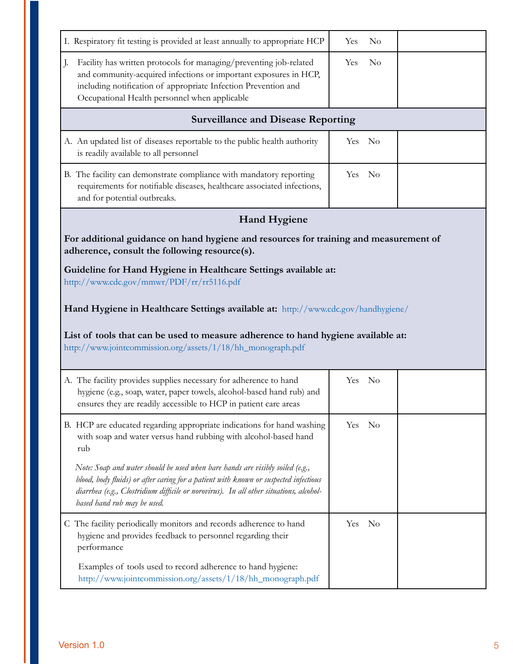| I. Respiratory fit testing is provided at least annually to appropriate HCP                                                                                                                                                                                                                    | $\rm No$<br>Yes  |  |  |  |
|------------------------------------------------------------------------------------------------------------------------------------------------------------------------------------------------------------------------------------------------------------------------------------------------|------------------|--|--|--|
| Facility has written protocols for managing/preventing job-related<br>J.<br>and community-acquired infections or important exposures in HCP,<br>including notification of appropriate Infection Prevention and<br>Occupational Health personnel when applicable                                | $\rm No$<br>Yes  |  |  |  |
| <b>Surveillance and Disease Reporting</b>                                                                                                                                                                                                                                                      |                  |  |  |  |
| A. An updated list of diseases reportable to the public health authority<br>is readily available to all personnel                                                                                                                                                                              | Yes No           |  |  |  |
| B. The facility can demonstrate compliance with mandatory reporting<br>requirements for notifiable diseases, healthcare associated infections,<br>and for potential outbreaks.                                                                                                                 | Yes No           |  |  |  |
| <b>Hand Hygiene</b>                                                                                                                                                                                                                                                                            |                  |  |  |  |
| For additional guidance on hand hygiene and resources for training and measurement of<br>adherence, consult the following resource(s).                                                                                                                                                         |                  |  |  |  |
| Guideline for Hand Hygiene in Healthcare Settings available at:<br>http://www.cdc.gov/mmwr/PDF/rr/rr5116.pdf                                                                                                                                                                                   |                  |  |  |  |
| Hand Hygiene in Healthcare Settings available at: http://www.cdc.gov/handhygiene/                                                                                                                                                                                                              |                  |  |  |  |
| List of tools that can be used to measure adherence to hand hygiene available at:<br>http://www.jointcommission.org/assets/1/18/hh_monograph.pdf                                                                                                                                               |                  |  |  |  |
| A. The facility provides supplies necessary for adherence to hand<br>hygiene (e.g., soap, water, paper towels, alcohol-based hand rub) and<br>ensures they are readily accessible to HCP in patient care areas                                                                                 | Yes No           |  |  |  |
| B. HCP are educated regarding appropriate indications for hand washing<br>with soap and water versus hand rubbing with alcohol-based hand<br>rub                                                                                                                                               | $\rm ~No$<br>Yes |  |  |  |
| Note: Soap and water should be used when bare hands are visibly soiled (e.g.,<br>blood, body fluids) or after caring for a patient with known or suspected infectious<br>diarrhea (e.g., Clostridium difficile or norovirus). In all other situations, alcohol-<br>based hand rub may be used. |                  |  |  |  |
| C The facility periodically monitors and records adherence to hand<br>hygiene and provides feedback to personnel regarding their<br>performance                                                                                                                                                | $\rm ~No$<br>Yes |  |  |  |
| Examples of tools used to record adherence to hand hygiene:<br>http://www.jointcommission.org/assets/1/18/hh_monograph.pdf                                                                                                                                                                     |                  |  |  |  |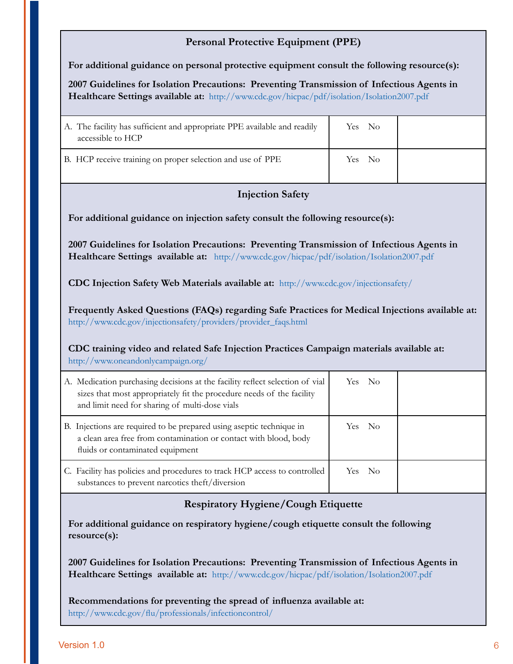#### **Personal Protective Equipment (PPE)**

**For additional guidance on personal protective equipment consult the following resource(s):** 

 **Healthcare Settings available at:** http://www.cdc.gov/hicpac/pdf/isolation/Isolation2007.pdf **2007 Guidelines for Isolation Precautions: Preventing Transmission of Infectious Agents in** 

| A. The facility has sufficient and appropriate PPE available and readily<br>accessible to HCP | Yes No |  |
|-----------------------------------------------------------------------------------------------|--------|--|
| B. HCP receive training on proper selection and use of PPE                                    | Yes No |  |

#### **Injection Safety**

**For additional guidance on injection safety consult the following resource(s):** 

 **Healthcare Settings available at:** http://www.cdc.gov/hicpac/pdf/isolation/Isolation2007.pdf **2007 Guidelines for Isolation Precautions: Preventing Transmission of Infectious Agents in** 

**CDC Injection Safety Web Materials available at:** http://www.cdc.gov/injectionsafety/

**Frequently Asked Questions (FAQs) regarding Safe Practices for Medical Injections available at:**  http://www.cdc.gov/injectionsafety/providers/provider\_faqs.html

**CDC training video and related Safe Injection Practices Campaign materials available at:**  http://www.oneandonlycampaign.org/

| A. Medication purchasing decisions at the facility reflect selection of vial<br>sizes that most appropriately fit the procedure needs of the facility<br>and limit need for sharing of multi-dose vials | Yes No |  |
|---------------------------------------------------------------------------------------------------------------------------------------------------------------------------------------------------------|--------|--|
| B. Injections are required to be prepared using aseptic technique in<br>a clean area free from contamination or contact with blood, body<br>fluids or contaminated equipment                            | Yes No |  |
| C. Facility has policies and procedures to track HCP access to controlled<br>substances to prevent narcotics theft/diversion                                                                            | Yes No |  |

#### **Respiratory Hygiene/Cough Etiquette**

**For additional guidance on respiratory hygiene/cough etiquette consult the following resource(s):** 

**2007 Guidelines for Isolation Precautions: Preventing Transmission of Infectious Agents in Healthcare Settings available at:** http://www.cdc.gov/hicpac/pdf/isolation/Isolation2007.pdf

**Recommendations for preventing the spread of influenza available at:**  http://www.cdc.gov/flu/professionals/infectioncontrol/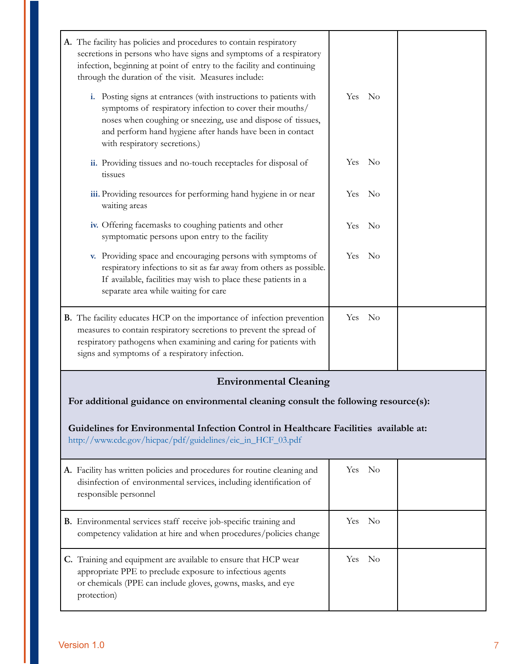| A. The facility has policies and procedures to contain respiratory<br>secretions in persons who have signs and symptoms of a respiratory<br>infection, beginning at point of entry to the facility and continuing<br>through the duration of the visit. Measures include:                   |        |          |  |
|---------------------------------------------------------------------------------------------------------------------------------------------------------------------------------------------------------------------------------------------------------------------------------------------|--------|----------|--|
| i. Posting signs at entrances (with instructions to patients with<br>symptoms of respiratory infection to cover their mouths/<br>noses when coughing or sneezing, use and dispose of tissues,<br>and perform hand hygiene after hands have been in contact<br>with respiratory secretions.) | Yes No |          |  |
| ii. Providing tissues and no-touch receptacles for disposal of<br>tissues                                                                                                                                                                                                                   | Yes    | No       |  |
| iii. Providing resources for performing hand hygiene in or near<br>waiting areas                                                                                                                                                                                                            | Yes    | $\rm No$ |  |
| iv. Offering facemasks to coughing patients and other<br>symptomatic persons upon entry to the facility                                                                                                                                                                                     | Yes No |          |  |
| v. Providing space and encouraging persons with symptoms of<br>respiratory infections to sit as far away from others as possible.<br>If available, facilities may wish to place these patients in a<br>separate area while waiting for care                                                 | Yes No |          |  |
| B. The facility educates HCP on the importance of infection prevention<br>measures to contain respiratory secretions to prevent the spread of<br>respiratory pathogens when examining and caring for patients with<br>signs and symptoms of a respiratory infection.                        | Yes No |          |  |
| <b>Environmental Cleaning</b>                                                                                                                                                                                                                                                               |        |          |  |
| For additional guidance on environmental cleaning consult the following resource(s):                                                                                                                                                                                                        |        |          |  |
| Guidelines for Environmental Infection Control in Healthcare Facilities available at:<br>http://www.cdc.gov/hicpac/pdf/guidelines/eic_in_HCF_03.pdf                                                                                                                                         |        |          |  |
| A. Facility has written policies and procedures for routine cleaning and<br>disinfection of environmental services, including identification of<br>responsible personnel                                                                                                                    | Yes No |          |  |
| B. Environmental services staff receive job-specific training and<br>competency validation at hire and when procedures/policies change                                                                                                                                                      | Yes    | $\rm No$ |  |
| C. Training and equipment are available to ensure that HCP wear<br>appropriate PPE to preclude exposure to infectious agents<br>or chemicals (PPE can include gloves, gowns, masks, and eye<br>protection)                                                                                  | Yes    | No       |  |
|                                                                                                                                                                                                                                                                                             |        |          |  |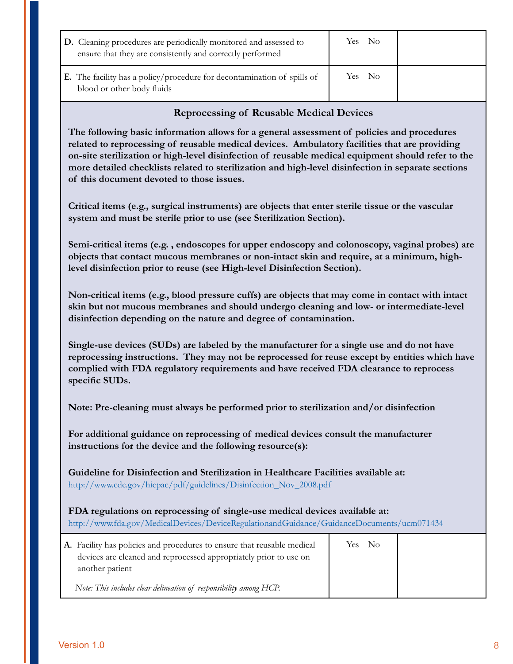| D. Cleaning procedures are periodically monitored and assessed to<br>ensure that they are consistently and correctly performed | Yes No |  |
|--------------------------------------------------------------------------------------------------------------------------------|--------|--|
| <b>E.</b> The facility has a policy/procedure for decontamination of spills of<br>blood or other body fluids                   | Yes No |  |

#### **Reprocessing of Reusable Medical Devices**

**The following basic information allows for a general assessment of policies and procedures related to reprocessing of reusable medical devices. Ambulatory facilities that are providing on-site sterilization or high-level disinfection of reusable medical equipment should refer to the more detailed checklists related to sterilization and high-level disinfection in separate sections of this document devoted to those issues.** 

**Critical items (e.g., surgical instruments) are objects that enter sterile tissue or the vascular system and must be sterile prior to use (see Sterilization Section).** 

**Semi-critical items (e.g. , endoscopes for upper endoscopy and colonoscopy, vaginal probes) are objects that contact mucous membranes or non-intact skin and require, at a minimum, highlevel disinfection prior to reuse (see High-level Disinfection Section).** 

**Non-critical items (e.g., blood pressure cuffs) are objects that may come in contact with intact skin but not mucous membranes and should undergo cleaning and low- or intermediate-level disinfection depending on the nature and degree of contamination.** 

**Single-use devices (SUDs) are labeled by the manufacturer for a single use and do not have reprocessing instructions. They may not be reprocessed for reuse except by entities which have complied with FDA regulatory requirements and have received FDA clearance to reprocess specific SUDs.** 

**Note: Pre-cleaning must always be performed prior to sterilization and/or disinfection** 

**For additional guidance on reprocessing of medical devices consult the manufacturer instructions for the device and the following resource(s):** 

**Guideline for Disinfection and Sterilization in Healthcare Facilities available at:**  http://www.cdc.gov/hicpac/pdf/guidelines/Disinfection\_Nov\_2008.pdf

 **FDA regulations on reprocessing of single-use medical devices available at:** http://www.fda.gov/MedicalDevices/DeviceRegulationandGuidance/GuidanceDocuments/ucm071434

| A. Facility has policies and procedures to ensure that reusable medical              | Yes No |
|--------------------------------------------------------------------------------------|--------|
| devices are cleaned and reprocessed appropriately prior to use on<br>another patient |        |
| Note: This includes clear delineation of responsibility among HCP.                   |        |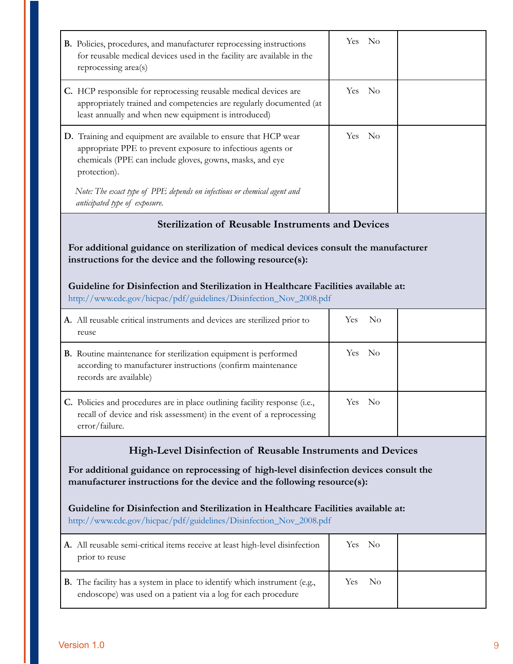| B. Policies, procedures, and manufacturer reprocessing instructions<br>for reusable medical devices used in the facility are available in the<br>reprocessing area(s)                                      | Yes No                                                                                                                                                            |  |  |  |  |
|------------------------------------------------------------------------------------------------------------------------------------------------------------------------------------------------------------|-------------------------------------------------------------------------------------------------------------------------------------------------------------------|--|--|--|--|
| C. HCP responsible for reprocessing reusable medical devices are<br>appropriately trained and competencies are regularly documented (at<br>least annually and when new equipment is introduced)            | Yes No                                                                                                                                                            |  |  |  |  |
| D. Training and equipment are available to ensure that HCP wear<br>appropriate PPE to prevent exposure to infectious agents or<br>chemicals (PPE can include gloves, gowns, masks, and eye<br>protection). | Yes No                                                                                                                                                            |  |  |  |  |
| Note: The exact type of PPE depends on infectious or chemical agent and<br>anticipated type of exposure.                                                                                                   |                                                                                                                                                                   |  |  |  |  |
| <b>Sterilization of Reusable Instruments and Devices</b>                                                                                                                                                   |                                                                                                                                                                   |  |  |  |  |
| For additional guidance on sterilization of medical devices consult the manufacturer<br>instructions for the device and the following resource(s):                                                         |                                                                                                                                                                   |  |  |  |  |
| Guideline for Disinfection and Sterilization in Healthcare Facilities available at:<br>http://www.cdc.gov/hicpac/pdf/guidelines/Disinfection_Nov_2008.pdf                                                  |                                                                                                                                                                   |  |  |  |  |
| A. All reusable critical instruments and devices are sterilized prior to<br>reuse                                                                                                                          | Yes<br>N <sub>o</sub>                                                                                                                                             |  |  |  |  |
| B. Routine maintenance for sterilization equipment is performed<br>according to manufacturer instructions (confirm maintenance<br>records are available)                                                   | Yes No                                                                                                                                                            |  |  |  |  |
| C. Policies and procedures are in place outlining facility response (i.e.,<br>recall of device and risk assessment) in the event of a reprocessing<br>error/failure.                                       | Yes No                                                                                                                                                            |  |  |  |  |
| High-Level Disinfection of Reusable Instruments and Devices                                                                                                                                                |                                                                                                                                                                   |  |  |  |  |
|                                                                                                                                                                                                            | For additional guidance on reprocessing of high-level disinfection devices consult the<br>manufacturer instructions for the device and the following resource(s): |  |  |  |  |
| Guideline for Disinfection and Sterilization in Healthcare Facilities available at:<br>http://www.cdc.gov/hicpac/pdf/guidelines/Disinfection_Nov_2008.pdf                                                  |                                                                                                                                                                   |  |  |  |  |
| A. All reusable semi-critical items receive at least high-level disinfection<br>prior to reuse                                                                                                             | Yes<br>No                                                                                                                                                         |  |  |  |  |
| <b>B.</b> The facility has a system in place to identify which instrument (e.g.,<br>endoscope) was used on a patient via a log for each procedure                                                          | Yes<br>N <sub>o</sub>                                                                                                                                             |  |  |  |  |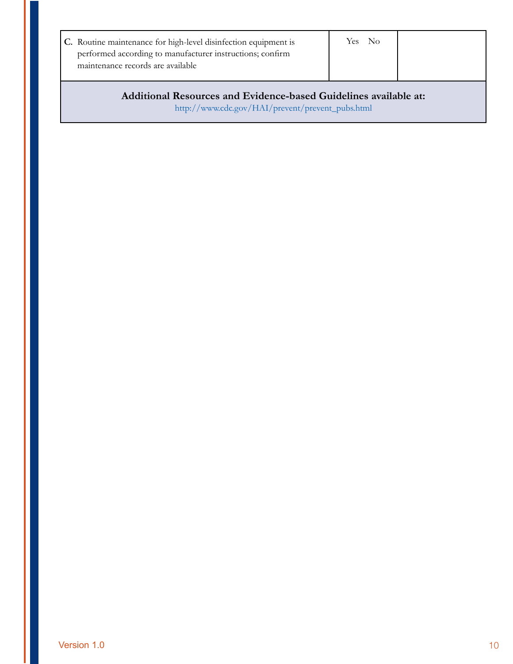| C. Routine maintenance for high-level disinfection equipment is<br>performed according to manufacturer instructions; confirm<br>maintenance records are available | Yes No |  |  |  |
|-------------------------------------------------------------------------------------------------------------------------------------------------------------------|--------|--|--|--|
| Additional Resources and Evidence-based Guidelines available at:                                                                                                  |        |  |  |  |

http://www.cdc.gov/HAI/prevent/prevent\_pubs.html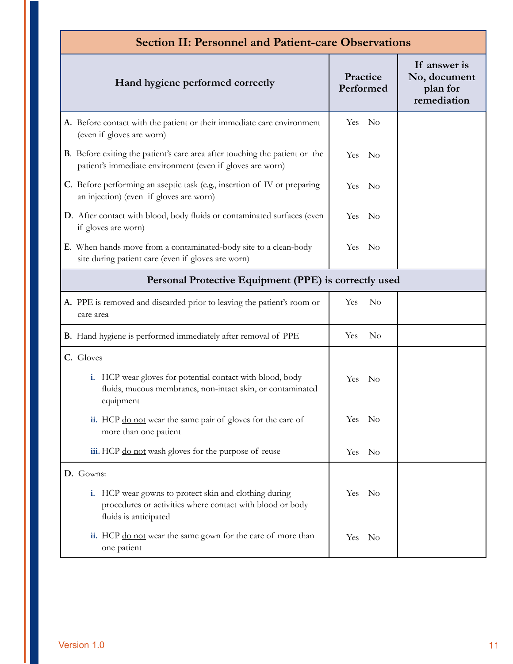| <b>Section II: Personnel and Patient-care Observations</b>                                                                                                  |                        |                                                         |  |  |
|-------------------------------------------------------------------------------------------------------------------------------------------------------------|------------------------|---------------------------------------------------------|--|--|
| Hand hygiene performed correctly                                                                                                                            | Practice<br>Performed  | If answer is<br>No, document<br>plan for<br>remediation |  |  |
| A. Before contact with the patient or their immediate care environment<br>(even if gloves are worn)                                                         | <b>Yes</b><br>$\rm No$ |                                                         |  |  |
| <b>B</b> . Before exiting the patient's care area after touching the patient or the<br>patient's immediate environment (even if gloves are worn)            | Yes<br>- No            |                                                         |  |  |
| C. Before performing an aseptic task (e.g., insertion of IV or preparing<br>an injection) (even if gloves are worn)                                         | Yes<br>- No            |                                                         |  |  |
| D. After contact with blood, body fluids or contaminated surfaces (even<br>if gloves are worn)                                                              | No<br><b>Yes</b>       |                                                         |  |  |
| E. When hands move from a contaminated-body site to a clean-body<br>site during patient care (even if gloves are worn)                                      | - No<br>Yes.           |                                                         |  |  |
| Personal Protective Equipment (PPE) is correctly used                                                                                                       |                        |                                                         |  |  |
| A. PPE is removed and discarded prior to leaving the patient's room or<br>care area                                                                         | Yes<br>$\rm No$        |                                                         |  |  |
| <b>B.</b> Hand hygiene is performed immediately after removal of PPE                                                                                        | Yes<br>No              |                                                         |  |  |
| C. Gloves<br>i. HCP wear gloves for potential contact with blood, body<br>fluids, mucous membranes, non-intact skin, or contaminated<br>equipment           | $\rm No$<br>Yes:       |                                                         |  |  |
| ii. HCP do not wear the same pair of gloves for the care of<br>more than one patient                                                                        | Yes No                 |                                                         |  |  |
| iii. HCP do not wash gloves for the purpose of reuse                                                                                                        | Yes No                 |                                                         |  |  |
| D. Gowns:<br>HCP wear gowns to protect skin and clothing during<br>i.<br>procedures or activities where contact with blood or body<br>fluids is anticipated | Yes No                 |                                                         |  |  |
| ii. HCP do not wear the same gown for the care of more than<br>one patient                                                                                  | Yes No                 |                                                         |  |  |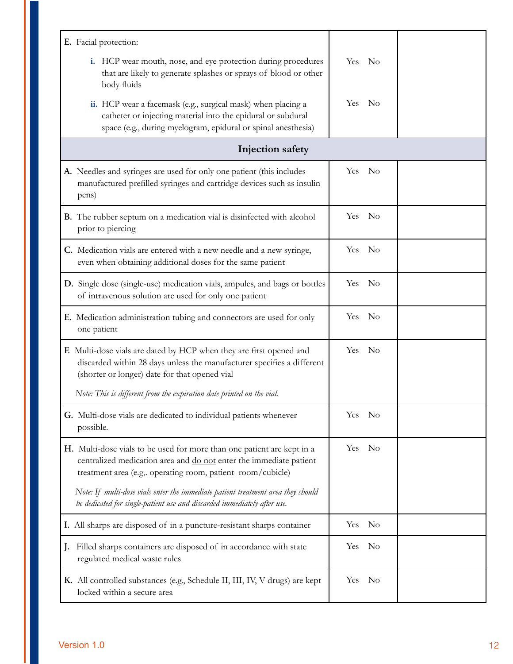| E. Facial protection:                                                                                                                                                                                      |                    |  |  |  |  |
|------------------------------------------------------------------------------------------------------------------------------------------------------------------------------------------------------------|--------------------|--|--|--|--|
| i. HCP wear mouth, nose, and eye protection during procedures<br>that are likely to generate splashes or sprays of blood or other<br>body fluids                                                           | Yes No             |  |  |  |  |
| ii. HCP wear a facemask (e.g., surgical mask) when placing a<br>catheter or injecting material into the epidural or subdural<br>space (e.g., during myelogram, epidural or spinal anesthesia)              | No<br><b>Yes</b>   |  |  |  |  |
| <b>Injection safety</b>                                                                                                                                                                                    |                    |  |  |  |  |
| A. Needles and syringes are used for only one patient (this includes<br>manufactured prefilled syringes and cartridge devices such as insulin<br>pens)                                                     | Yes No             |  |  |  |  |
| <b>B.</b> The rubber septum on a medication vial is disinfected with alcohol<br>prior to piercing                                                                                                          | Yes No             |  |  |  |  |
| C. Medication vials are entered with a new needle and a new syringe,<br>even when obtaining additional doses for the same patient                                                                          | No<br><b>Yes</b>   |  |  |  |  |
| D. Single dose (single-use) medication vials, ampules, and bags or bottles<br>of intravenous solution are used for only one patient                                                                        | $\rm No$<br>Yes    |  |  |  |  |
| E. Medication administration tubing and connectors are used for only<br>one patient                                                                                                                        | Yes No             |  |  |  |  |
| F. Multi-dose vials are dated by HCP when they are first opened and<br>discarded within 28 days unless the manufacturer specifies a different<br>(shorter or longer) date for that opened vial             | <b>Yes</b><br>- No |  |  |  |  |
| Note: This is different from the expiration date printed on the vial.                                                                                                                                      |                    |  |  |  |  |
| G. Multi-dose vials are dedicated to individual patients whenever<br>possible.                                                                                                                             | Yes No             |  |  |  |  |
| H. Multi-dose vials to be used for more than one patient are kept in a<br>centralized medication area and do not enter the immediate patient<br>treatment area (e.g. operating room, patient room/cubicle) | No<br><b>Yes</b>   |  |  |  |  |
| Note: If multi-dose vials enter the immediate patient treatment area they should<br>be dedicated for single-patient use and discarded immediately after use.                                               |                    |  |  |  |  |
| I. All sharps are disposed of in a puncture-resistant sharps container                                                                                                                                     | $\rm No$<br>Yes    |  |  |  |  |
| Filled sharps containers are disposed of in accordance with state<br>J.<br>regulated medical waste rules                                                                                                   | No<br><b>Yes</b>   |  |  |  |  |
| K. All controlled substances (e.g., Schedule II, III, IV, V drugs) are kept<br>locked within a secure area                                                                                                 | Yes No             |  |  |  |  |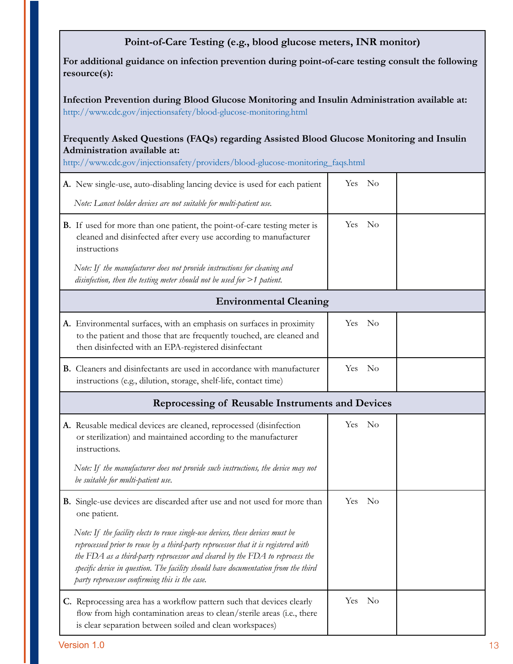|                                                                                                                                                                                                              | Point-of-Care Testing (e.g., blood glucose meters, INR monitor)                                                                                                                                                                                                                                                                                                                               |            |          |  |  |  |
|--------------------------------------------------------------------------------------------------------------------------------------------------------------------------------------------------------------|-----------------------------------------------------------------------------------------------------------------------------------------------------------------------------------------------------------------------------------------------------------------------------------------------------------------------------------------------------------------------------------------------|------------|----------|--|--|--|
| For additional guidance on infection prevention during point-of-care testing consult the following<br>resource(s):                                                                                           |                                                                                                                                                                                                                                                                                                                                                                                               |            |          |  |  |  |
| Infection Prevention during Blood Glucose Monitoring and Insulin Administration available at:<br>http://www.cdc.gov/injectionsafety/blood-glucose-monitoring.html                                            |                                                                                                                                                                                                                                                                                                                                                                                               |            |          |  |  |  |
| Frequently Asked Questions (FAQs) regarding Assisted Blood Glucose Monitoring and Insulin<br>Administration available at:<br>http://www.cdc.gov/injectionsafety/providers/blood-glucose-monitoring_faqs.html |                                                                                                                                                                                                                                                                                                                                                                                               |            |          |  |  |  |
|                                                                                                                                                                                                              | A. New single-use, auto-disabling lancing device is used for each patient                                                                                                                                                                                                                                                                                                                     | Yes        | $\rm No$ |  |  |  |
|                                                                                                                                                                                                              | Note: Lancet holder devices are not suitable for multi-patient use.                                                                                                                                                                                                                                                                                                                           |            |          |  |  |  |
|                                                                                                                                                                                                              | <b>B.</b> If used for more than one patient, the point-of-care testing meter is<br>cleaned and disinfected after every use according to manufacturer<br>instructions                                                                                                                                                                                                                          | Yes        | - No     |  |  |  |
|                                                                                                                                                                                                              | Note: If the manufacturer does not provide instructions for cleaning and<br>disinfection, then the testing meter should not be used for $>1$ patient.                                                                                                                                                                                                                                         |            |          |  |  |  |
| <b>Environmental Cleaning</b>                                                                                                                                                                                |                                                                                                                                                                                                                                                                                                                                                                                               |            |          |  |  |  |
|                                                                                                                                                                                                              | A. Environmental surfaces, with an emphasis on surfaces in proximity<br>to the patient and those that are frequently touched, are cleaned and<br>then disinfected with an EPA-registered disinfectant                                                                                                                                                                                         | Yes No     |          |  |  |  |
|                                                                                                                                                                                                              | <b>B.</b> Cleaners and disinfectants are used in accordance with manufacturer<br>instructions (e.g., dilution, storage, shelf-life, contact time)                                                                                                                                                                                                                                             | Yes No     |          |  |  |  |
|                                                                                                                                                                                                              | Reprocessing of Reusable Instruments and Devices                                                                                                                                                                                                                                                                                                                                              |            |          |  |  |  |
|                                                                                                                                                                                                              | A. Reusable medical devices are cleaned, reprocessed (disinfection<br>or sterilization) and maintained according to the manufacturer<br>instructions.                                                                                                                                                                                                                                         | Yes No     |          |  |  |  |
|                                                                                                                                                                                                              | Note: If the manufacturer does not provide such instructions, the device may not<br>be suitable for multi-patient use.                                                                                                                                                                                                                                                                        |            |          |  |  |  |
|                                                                                                                                                                                                              | B. Single-use devices are discarded after use and not used for more than<br>one patient.                                                                                                                                                                                                                                                                                                      | <b>Yes</b> | - No     |  |  |  |
|                                                                                                                                                                                                              | Note: If the facility elects to reuse single-use devices, these devices must be<br>reprocessed prior to reuse by a third-party reprocessor that it is registered with<br>the FDA as a third-party reprocessor and cleared by the FDA to reprocess the<br>specific device in question. The facility should have documentation from the third<br>party reprocessor confirming this is the case. |            |          |  |  |  |
|                                                                                                                                                                                                              | C. Reprocessing area has a workflow pattern such that devices clearly<br>flow from high contamination areas to clean/sterile areas (i.e., there<br>is clear separation between soiled and clean workspaces)                                                                                                                                                                                   | <b>Yes</b> | No       |  |  |  |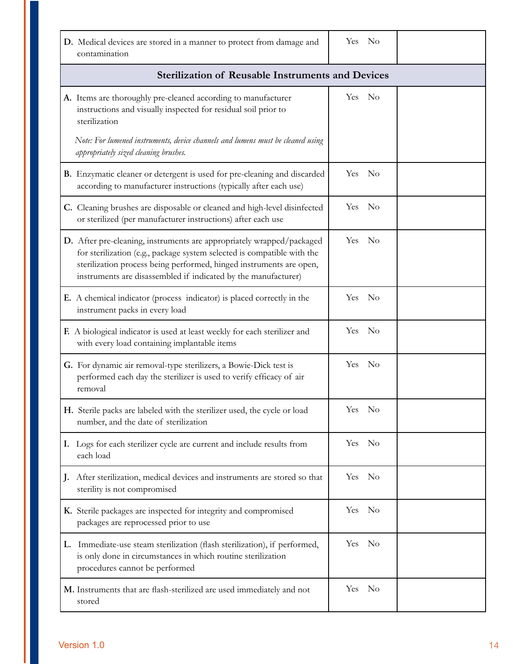| D. Medical devices are stored in a manner to protect from damage and<br>contamination                                                                                                                                                                                                     | Yes No                  |  |
|-------------------------------------------------------------------------------------------------------------------------------------------------------------------------------------------------------------------------------------------------------------------------------------------|-------------------------|--|
| <b>Sterilization of Reusable Instruments and Devices</b>                                                                                                                                                                                                                                  |                         |  |
| A. Items are thoroughly pre-cleaned according to manufacturer<br>instructions and visually inspected for residual soil prior to<br>sterilization<br>Note: For lumened instruments, device channels and lumens must be cleaned using                                                       | Yes No                  |  |
| appropriately sized cleaning brushes.                                                                                                                                                                                                                                                     |                         |  |
| B. Enzymatic cleaner or detergent is used for pre-cleaning and discarded<br>according to manufacturer instructions (typically after each use)                                                                                                                                             | Yes No                  |  |
| C. Cleaning brushes are disposable or cleaned and high-level disinfected<br>or sterilized (per manufacturer instructions) after each use                                                                                                                                                  | $\rm ~No$<br><b>Yes</b> |  |
| D. After pre-cleaning, instruments are appropriately wrapped/packaged<br>for sterilization (e.g., package system selected is compatible with the<br>sterilization process being performed, hinged instruments are open,<br>instruments are disassembled if indicated by the manufacturer) | $\rm ~No$<br><b>Yes</b> |  |
| E. A chemical indicator (process indicator) is placed correctly in the<br>instrument packs in every load                                                                                                                                                                                  | $\rm ~No$<br>Yes        |  |
| F. A biological indicator is used at least weekly for each sterilizer and<br>with every load containing implantable items                                                                                                                                                                 | Yes<br>- No             |  |
| G. For dynamic air removal-type sterilizers, a Bowie-Dick test is<br>performed each day the sterilizer is used to verify efficacy of air<br>removal                                                                                                                                       | Yes No                  |  |
| H. Sterile packs are labeled with the sterilizer used, the cycle or load<br>number, and the date of sterilization                                                                                                                                                                         | Yes No                  |  |
| I. Logs for each sterilizer cycle are current and include results from<br>each load                                                                                                                                                                                                       | Yes No                  |  |
| J. After sterilization, medical devices and instruments are stored so that<br>sterility is not compromised                                                                                                                                                                                | Yes No                  |  |
| K. Sterile packages are inspected for integrity and compromised<br>packages are reprocessed prior to use                                                                                                                                                                                  | Yes No                  |  |
| L. Immediate-use steam sterilization (flash sterilization), if performed,<br>is only done in circumstances in which routine sterilization<br>procedures cannot be performed                                                                                                               | Yes No                  |  |
| M. Instruments that are flash-sterilized are used immediately and not<br>stored                                                                                                                                                                                                           | Yes No                  |  |